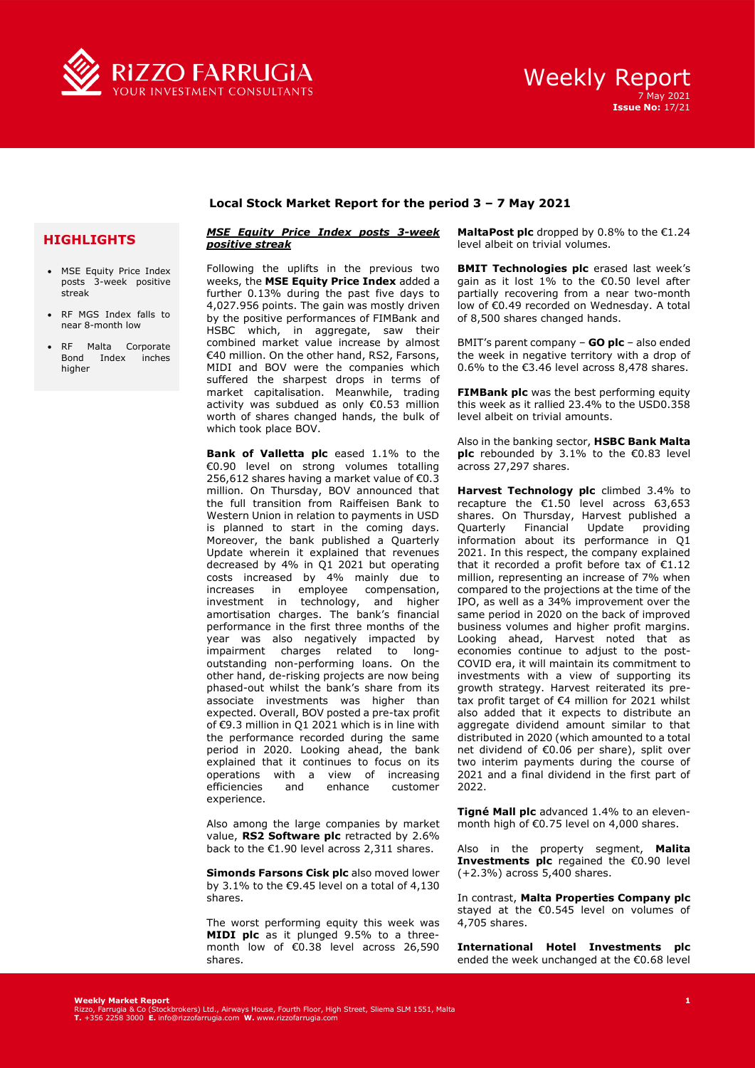



## **Local Stock Market Report for the period 3 – 7 May 2021**

## **HIGHLIGHTS**

- MSE Equity Price Index posts 3-week positive streak
- RF MGS Index falls to near 8-month low
- RF Malta Corporate Bond Index inches higher

## *MSE Equity Price Index posts 3-week positive streak*

Following the uplifts in the previous two weeks, the **MSE Equity Price Index** added a further 0.13% during the past five days to 4,027.956 points. The gain was mostly driven by the positive performances of FIMBank and HSBC which, in aggregate, saw their combined market value increase by almost €40 million. On the other hand, RS2, Farsons, MIDI and BOV were the companies which suffered the sharpest drops in terms of market capitalisation. Meanwhile, trading activity was subdued as only €0.53 million worth of shares changed hands, the bulk of which took place BOV.

**Bank of Valletta plc** eased 1.1% to the €0.90 level on strong volumes totalling 256,612 shares having a market value of €0.3 million. On Thursday, BOV announced that the full transition from Raiffeisen Bank to Western Union in relation to payments in USD is planned to start in the coming days. Moreover, the bank published a Quarterly Update wherein it explained that revenues decreased by 4% in Q1 2021 but operating costs increased by 4% mainly due to increases in employee compensation, investment in technology, and higher amortisation charges. The bank's financial performance in the first three months of the year was also negatively impacted by impairment charges related to longoutstanding non-performing loans. On the other hand, de-risking projects are now being phased-out whilst the bank's share from its associate investments was higher than expected. Overall, BOV posted a pre-tax profit of €9.3 million in Q1 2021 which is in line with the performance recorded during the same period in 2020. Looking ahead, the bank explained that it continues to focus on its operations with a view of increasing<br>efficiencies and enhance customer efficiencies experience.

Also among the large companies by market value, **RS2 Software plc** retracted by 2.6% back to the €1.90 level across 2,311 shares.

**Simonds Farsons Cisk plc** also moved lower by 3.1% to the  $€9.45$  level on a total of 4,130 shares.

The worst performing equity this week was **MIDI plc** as it plunged 9.5% to a threemonth low of €0.38 level across 26,590 shares.

**MaltaPost plc** dropped by 0.8% to the €1.24 level albeit on trivial volumes.

**BMIT Technologies plc** erased last week's gain as it lost 1% to the €0.50 level after partially recovering from a near two-month low of €0.49 recorded on Wednesday. A total of 8,500 shares changed hands.

BMIT's parent company – **GO plc** – also ended the week in negative territory with a drop of 0.6% to the  $\epsilon$ 3.46 level across 8,478 shares.

**FIMBank plc** was the best performing equity this week as it rallied 23.4% to the USD0.358 level albeit on trivial amounts.

Also in the banking sector, **HSBC Bank Malta plc** rebounded by 3.1% to the €0.83 level across 27,297 shares.

**Harvest Technology plc** climbed 3.4% to recapture the  $£1.50$  level across 63,653 shares. On Thursday, Harvest published a Quarterly Financial Update providing information about its performance in Q1 2021. In this respect, the company explained that it recorded a profit before tax of  $E1.12$ million, representing an increase of 7% when compared to the projections at the time of the IPO, as well as a 34% improvement over the same period in 2020 on the back of improved business volumes and higher profit margins. Looking ahead, Harvest noted that as economies continue to adjust to the post-COVID era, it will maintain its commitment to investments with a view of supporting its growth strategy. Harvest reiterated its pretax profit target of €4 million for 2021 whilst also added that it expects to distribute an aggregate dividend amount similar to that distributed in 2020 (which amounted to a total net dividend of €0.06 per share), split over two interim payments during the course of 2021 and a final dividend in the first part of 2022.

**Tigné Mall plc** advanced 1.4% to an elevenmonth high of €0.75 level on 4,000 shares.

Also in the property segment, **Malita Investments plc** regained the €0.90 level (+2.3%) across 5,400 shares.

In contrast, **Malta Properties Company plc**  stayed at the €0.545 level on volumes of 4,705 shares.

**International Hotel Investments plc** ended the week unchanged at the €0.68 level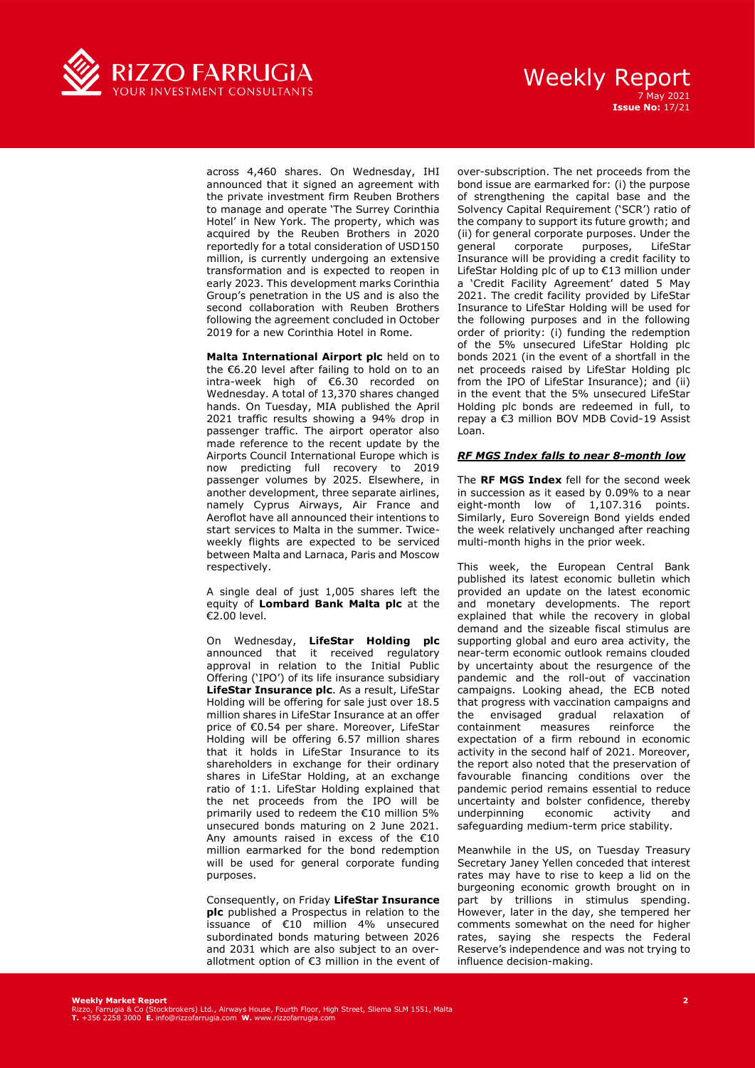

## Weekly Report 7 May 2021 **Issue No:** 17/21

across 4,460 shares. On Wednesday, IHI announced that it signed an agreement with the private investment firm Reuben Brothers to manage and operate 'The Surrey Corinthia Hotel' in New York. The property, which was acquired by the Reuben Brothers in 2020 reportedly for a total consideration of USD150 million, is currently undergoing an extensive transformation and is expected to reopen in early 2023. This development marks Corinthia Group's penetration in the US and is also the second collaboration with Reuben Brothers following the agreement concluded in October 2019 for a new Corinthia Hotel in Rome.

**Malta International Airport plc** held on to the €6.20 level after failing to hold on to an intra-week high of €6.30 recorded on Wednesday. A total of 13,370 shares changed hands. On Tuesday, MIA published the April 2021 traffic results showing a 94% drop in passenger traffic. The airport operator also made reference to the recent update by the Airports Council International Europe which is now predicting full recovery to 2019 passenger volumes by 2025. Elsewhere, in another development, three separate airlines, namely Cyprus Airways, Air France and Aeroflot have all announced their intentions to start services to Malta in the summer. Twiceweekly flights are expected to be serviced between Malta and Larnaca, Paris and Moscow respectively.

A single deal of just 1,005 shares left the equity of **Lombard Bank Malta plc** at the €2.00 level.

On Wednesday, **LifeStar Holding plc**  announced that it received regulatory approval in relation to the Initial Public Offering ('IPO') of its life insurance subsidiary **LifeStar Insurance plc**. As a result, LifeStar Holding will be offering for sale just over 18.5 million shares in LifeStar Insurance at an offer price of €0.54 per share. Moreover, LifeStar Holding will be offering 6.57 million shares that it holds in LifeStar Insurance to its shareholders in exchange for their ordinary shares in LifeStar Holding, at an exchange ratio of 1:1. LifeStar Holding explained that the net proceeds from the IPO will be primarily used to redeem the €10 million 5% unsecured bonds maturing on 2 June 2021. Any amounts raised in excess of the €10 million earmarked for the bond redemption will be used for general corporate funding purposes.

Consequently, on Friday **LifeStar Insurance plc** published a Prospectus in relation to the issuance of €10 million 4% unsecured subordinated bonds maturing between 2026 and 2031 which are also subject to an overallotment option of €3 million in the event of over-subscription. The net proceeds from the bond issue are earmarked for: (i) the purpose of strengthening the capital base and the Solvency Capital Requirement ('SCR') ratio of the company to support its future growth; and (ii) for general corporate purposes. Under the<br>qeneral corporate purposes. LifeStar general corporate purposes, LifeStar Insurance will be providing a credit facility to LifeStar Holding plc of up to €13 million under a 'Credit Facility Agreement' dated 5 May 2021. The credit facility provided by LifeStar Insurance to LifeStar Holding will be used for the following purposes and in the following order of priority: (i) funding the redemption of the 5% unsecured LifeStar Holding plc bonds 2021 (in the event of a shortfall in the net proceeds raised by LifeStar Holding plc from the IPO of LifeStar Insurance); and (ii) in the event that the 5% unsecured LifeStar Holding plc bonds are redeemed in full, to repay a €3 million BOV MDB Covid-19 Assist Loan.

### *RF MGS Index falls to near 8-month low*

The **RF MGS Index** fell for the second week in succession as it eased by 0.09% to a near eight-month low of 1,107.316 points. Similarly, Euro Sovereign Bond yields ended the week relatively unchanged after reaching multi-month highs in the prior week.

This week, the European Central Bank published its latest economic bulletin which provided an update on the latest economic and monetary developments. The report explained that while the recovery in global demand and the sizeable fiscal stimulus are supporting global and euro area activity, the near-term economic outlook remains clouded by uncertainty about the resurgence of the pandemic and the roll-out of vaccination campaigns. Looking ahead, the ECB noted that progress with vaccination campaigns and the envisaged gradual relaxation of<br>containment measures reinforce the containment measures expectation of a firm rebound in economic activity in the second half of 2021. Moreover, the report also noted that the preservation of favourable financing conditions over the pandemic period remains essential to reduce uncertainty and bolster confidence, thereby<br>underpinning economic activity and underpinning economic activity and safeguarding medium-term price stability.

Meanwhile in the US, on Tuesday Treasury Secretary Janey Yellen conceded that interest rates may have to rise to keep a lid on the burgeoning economic growth brought on in part by trillions in stimulus spending. However, later in the day, she tempered her comments somewhat on the need for higher rates, saying she respects the Federal Reserve's independence and was not trying to influence decision-making.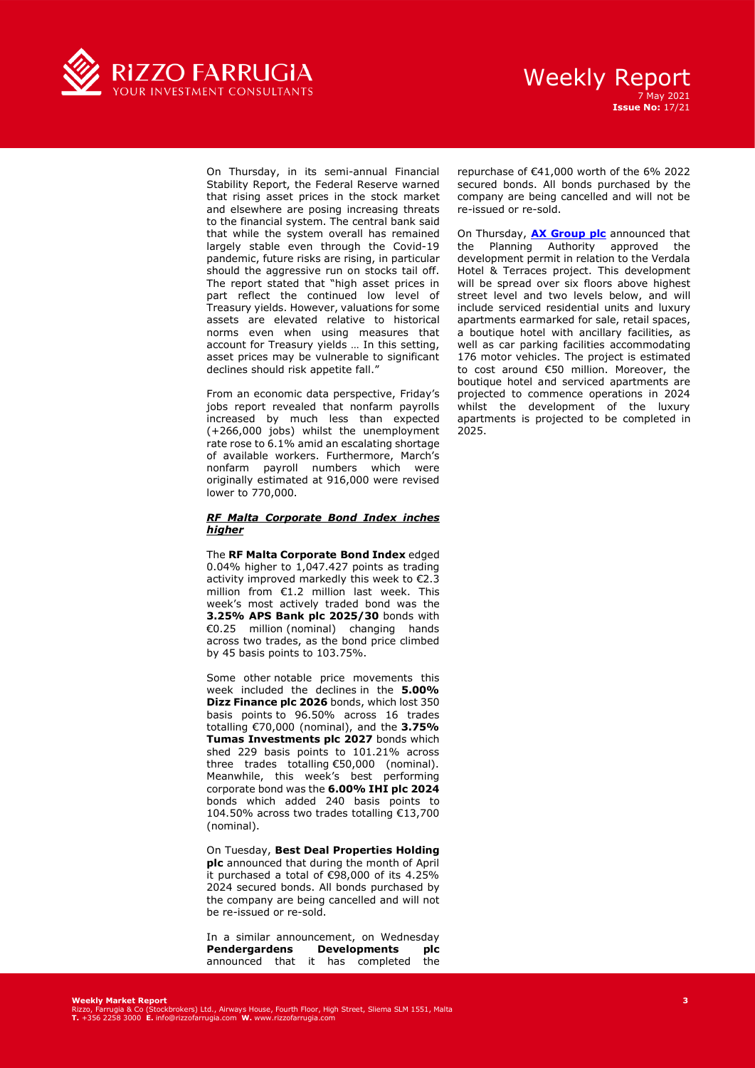

## Weekly Report 7 May 2021 **Issue No:** 17/21

On Thursday, in its semi-annual Financial Stability Report, the Federal Reserve warned that rising asset prices in the stock market and elsewhere are posing increasing threats to the financial system. The central bank said that while the system overall has remained largely stable even through the Covid-19 pandemic, future risks are rising, in particular should the aggressive run on stocks tail off. The report stated that "high asset prices in part reflect the continued low level of Treasury yields. However, valuations for some assets are elevated relative to historical norms even when using measures that account for Treasury yields … In this setting, asset prices may be vulnerable to significant declines should risk appetite fall."

From an economic data perspective, Friday's jobs report revealed that nonfarm payrolls increased by much less than expected (+266,000 jobs) whilst the unemployment rate rose to 6.1% amid an escalating shortage of available workers. Furthermore, March's nonfarm payroll numbers which were originally estimated at 916,000 were revised lower to 770,000.

### *RF Malta Corporate Bond Index inches higher*

The **RF Malta Corporate Bond Index** edged 0.04% higher to 1,047.427 points as trading activity improved markedly this week to €2.3 million from €1.2 million last week. This week's most actively traded bond was the **3.25% APS Bank plc 2025/30** bonds with €0.25 million (nominal) changing hands across two trades, as the bond price climbed by 45 basis points to 103.75%.

Some other notable price movements this week included the declines in the **5.00% Dizz Finance plc 2026** bonds, which lost 350 basis points to 96.50% across 16 trades totalling €70,000 (nominal), and the **3.75% Tumas Investments plc 2027** bonds which shed 229 basis points to 101.21% across three trades totalling €50,000 (nominal). Meanwhile, this week's best performing corporate bond was the **6.00% IHI plc 2024**  bonds which added 240 basis points to 104.50% across two trades totalling €13,700 (nominal).

On Tuesday, **Best Deal Properties Holding plc** announced that during the month of April it purchased a total of €98,000 of its 4.25% 2024 secured bonds. All bonds purchased by the company are being cancelled and will not be re-issued or re-sold.

In a similar announcement, on Wednesday **Pendergardens Developments plc** announced that it has completed the

repurchase of €41,000 worth of the 6% 2022 secured bonds. All bonds purchased by the company are being cancelled and will not be re-issued or re-sold.

On Thursday, **[AX Group plc](https://eur03.safelinks.protection.outlook.com/?url=https%3A%2F%2Frizzofarrugia.com%2Fmalta-market-news%2F2021%2Fplanning-permit-for-verdala-project-axg2103%2F&data=04%7C01%7Cjosef.cutajar%40rizzofarrugia.com%7C91f64b2bc73d4cafe36e08d91168918f%7C98a5f2e4a80c40c2826cff5a75062f36%7C0%7C0%7C637559963083349398%7CUnknown%7CTWFpbGZsb3d8eyJWIjoiMC4wLjAwMDAiLCJQIjoiV2luMzIiLCJBTiI6Ik1haWwiLCJXVCI6Mn0%3D%7C1000&sdata=ipBWzKTt8mmU%2B49xTwI%2FiyhCZ%2BD5xWbITW%2FOty3xtWw%3D&reserved=0)** announced that the Planning Authority approved the development permit in relation to the Verdala Hotel & Terraces project. This development will be spread over six floors above highest street level and two levels below, and will include serviced residential units and luxury apartments earmarked for sale, retail spaces, a boutique hotel with ancillary facilities, as well as car parking facilities accommodating 176 motor vehicles. The project is estimated to cost around €50 million. Moreover, the boutique hotel and serviced apartments are projected to commence operations in 2024 whilst the development of the luxury apartments is projected to be completed in 2025.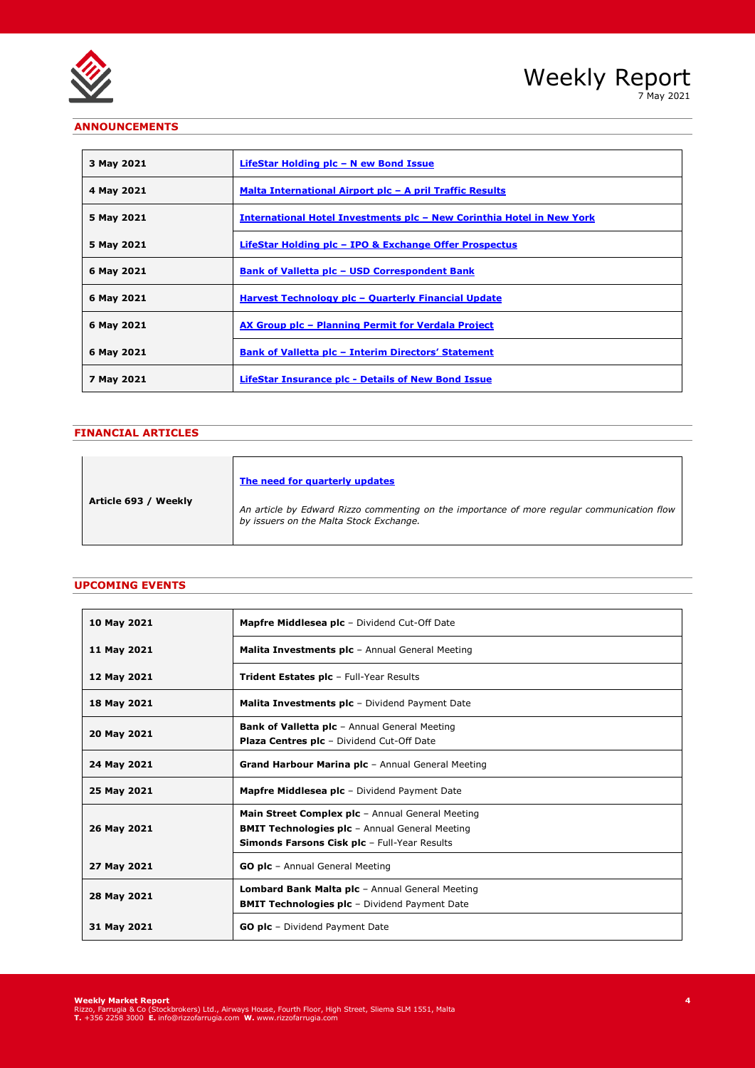

7 May 2021

## **ANNOUNCEMENTS**

| 3 May 2021 | LifeStar Holding plc - N ew Bond Issue                                        |
|------------|-------------------------------------------------------------------------------|
| 4 May 2021 | <u> Malta International Airport plc - A pril Traffic Results</u>              |
| 5 May 2021 | <u> International Hotel Investments plc – New Corinthia Hotel in New York</u> |
| 5 May 2021 | LifeStar Holding plc - IPO & Exchange Offer Prospectus                        |
| 6 May 2021 | <b>Bank of Valletta plc - USD Correspondent Bank</b>                          |
| 6 May 2021 | Harvest Technology plc - Quarterly Financial Update                           |
| 6 May 2021 | AX Group plc - Planning Permit for Verdala Project                            |
| 6 May 2021 | <b>Bank of Valletta plc - Interim Directors' Statement</b>                    |
| 7 May 2021 | <b>LifeStar Insurance plc - Details of New Bond Issue</b>                     |

## **FINANCIAL ARTICLES**

|                      | The need for quarterly updates                                                                                                        |
|----------------------|---------------------------------------------------------------------------------------------------------------------------------------|
| Article 693 / Weekly | An article by Edward Rizzo commenting on the importance of more regular communication flow<br>by issuers on the Malta Stock Exchange. |

## **UPCOMING EVENTS**

| 10 May 2021 | <b>Mapfre Middlesea plc</b> - Dividend Cut-Off Date                                                                                                              |
|-------------|------------------------------------------------------------------------------------------------------------------------------------------------------------------|
| 11 May 2021 | <b>Malita Investments plc</b> - Annual General Meeting                                                                                                           |
| 12 May 2021 | <b>Trident Estates plc</b> - Full-Year Results                                                                                                                   |
| 18 May 2021 | <b>Malita Investments plc</b> - Dividend Payment Date                                                                                                            |
| 20 May 2021 | <b>Bank of Valletta plc</b> - Annual General Meeting<br><b>Plaza Centres plc</b> - Dividend Cut-Off Date                                                         |
| 24 May 2021 | <b>Grand Harbour Marina plc</b> - Annual General Meeting                                                                                                         |
| 25 May 2021 | <b>Mapfre Middlesea plc</b> - Dividend Payment Date                                                                                                              |
| 26 May 2021 | <b>Main Street Complex plc</b> - Annual General Meeting<br><b>BMIT Technologies plc</b> - Annual General Meeting<br>Simonds Farsons Cisk plc - Full-Year Results |
| 27 May 2021 | <b>GO plc</b> - Annual General Meeting                                                                                                                           |
| 28 May 2021 | <b>Lombard Bank Malta plc</b> - Annual General Meeting<br><b>BMIT Technologies plc</b> - Dividend Payment Date                                                   |
| 31 May 2021 | <b>GO plc</b> - Dividend Payment Date                                                                                                                            |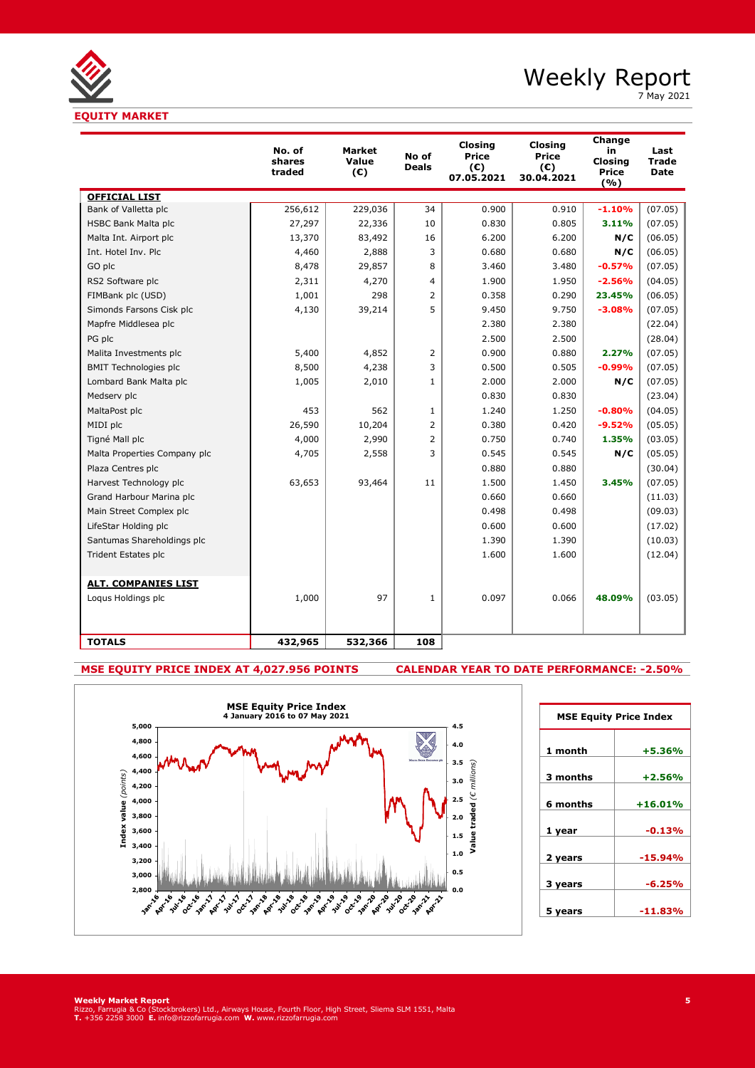**EQUITY MARKET**

## Weekly Report

7 May 2021

|                              | No. of<br>shares<br>traded | <b>Market</b><br>Value<br>$(\epsilon)$ | No of<br><b>Deals</b> | <b>Closing</b><br>Price<br>(C)<br>07.05.2021 | Closina<br><b>Price</b><br>(C)<br>30.04.2021 | Change<br>in<br>Closing<br>Price<br>(%) | Last<br><b>Trade</b><br><b>Date</b> |
|------------------------------|----------------------------|----------------------------------------|-----------------------|----------------------------------------------|----------------------------------------------|-----------------------------------------|-------------------------------------|
| <b>OFFICIAL LIST</b>         |                            |                                        |                       |                                              |                                              |                                         |                                     |
| Bank of Valletta plc         | 256,612                    | 229,036                                | 34                    | 0.900                                        | 0.910                                        | $-1.10%$                                | (07.05)                             |
| <b>HSBC Bank Malta plc</b>   | 27,297                     | 22,336                                 | 10                    | 0.830                                        | 0.805                                        | 3.11%                                   | (07.05)                             |
| Malta Int. Airport plc       | 13,370                     | 83,492                                 | 16                    | 6.200                                        | 6.200                                        | N/C                                     | (06.05)                             |
| Int. Hotel Inv. Plc          | 4,460                      | 2,888                                  | 3                     | 0.680                                        | 0.680                                        | N/C                                     | (06.05)                             |
| GO plc                       | 8,478                      | 29,857                                 | 8                     | 3.460                                        | 3.480                                        | $-0.57%$                                | (07.05)                             |
| RS2 Software plc             | 2,311                      | 4,270                                  | 4                     | 1.900                                        | 1.950                                        | $-2.56%$                                | (04.05)                             |
| FIMBank plc (USD)            | 1,001                      | 298                                    | 2                     | 0.358                                        | 0.290                                        | 23.45%                                  | (06.05)                             |
| Simonds Farsons Cisk plc     | 4,130                      | 39,214                                 | 5                     | 9.450                                        | 9.750                                        | $-3.08%$                                | (07.05)                             |
| Mapfre Middlesea plc         |                            |                                        |                       | 2.380                                        | 2.380                                        |                                         | (22.04)                             |
| PG plc                       |                            |                                        |                       | 2.500                                        | 2.500                                        |                                         | (28.04)                             |
| Malita Investments plc       | 5,400                      | 4,852                                  | 2                     | 0.900                                        | 0.880                                        | 2.27%                                   | (07.05)                             |
| <b>BMIT Technologies plc</b> | 8,500                      | 4,238                                  | 3                     | 0.500                                        | 0.505                                        | $-0.99%$                                | (07.05)                             |
| Lombard Bank Malta plc       | 1,005                      | 2,010                                  | $\mathbf{1}$          | 2.000                                        | 2.000                                        | N/C                                     | (07.05)                             |
| Medserv plc                  |                            |                                        |                       | 0.830                                        | 0.830                                        |                                         | (23.04)                             |
| MaltaPost plc                | 453                        | 562                                    | $\mathbf{1}$          | 1.240                                        | 1.250                                        | $-0.80%$                                | (04.05)                             |
| MIDI plc                     | 26,590                     | 10,204                                 | 2                     | 0.380                                        | 0.420                                        | $-9.52%$                                | (05.05)                             |
| Tigné Mall plc               | 4,000                      | 2,990                                  | $\overline{2}$        | 0.750                                        | 0.740                                        | 1.35%                                   | (03.05)                             |
| Malta Properties Company plc | 4,705                      | 2,558                                  | 3                     | 0.545                                        | 0.545                                        | N/C                                     | (05.05)                             |
| Plaza Centres plc            |                            |                                        |                       | 0.880                                        | 0.880                                        |                                         | (30.04)                             |
| Harvest Technology plc       | 63,653                     | 93,464                                 | 11                    | 1.500                                        | 1.450                                        | 3.45%                                   | (07.05)                             |
| Grand Harbour Marina plc     |                            |                                        |                       | 0.660                                        | 0.660                                        |                                         | (11.03)                             |
| Main Street Complex plc      |                            |                                        |                       | 0.498                                        | 0.498                                        |                                         | (09.03)                             |
| LifeStar Holding plc         |                            |                                        |                       | 0.600                                        | 0.600                                        |                                         | (17.02)                             |
| Santumas Shareholdings plc   |                            |                                        |                       | 1.390                                        | 1.390                                        |                                         | (10.03)                             |
| <b>Trident Estates plc</b>   |                            |                                        |                       | 1.600                                        | 1.600                                        |                                         | (12.04)                             |
| <b>ALT. COMPANIES LIST</b>   |                            |                                        |                       |                                              |                                              |                                         |                                     |
| Loqus Holdings plc           | 1,000                      | 97                                     | $\mathbf{1}$          | 0.097                                        | 0.066                                        | 48.09%                                  | (03.05)                             |
| <b>TOTALS</b>                | 432,965                    | 532,366                                | 108                   |                                              |                                              |                                         |                                     |

## **MSE EQUITY PRICE INDEX AT 4,027.956 POINTS CALENDAR YEAR TO DATE PERFORMANCE: -2.50%**



| <b>MSE Equity Price Index</b> |           |  |  |  |  |
|-------------------------------|-----------|--|--|--|--|
| 1 month                       | $+5.36%$  |  |  |  |  |
| 3 months                      | $+2.56%$  |  |  |  |  |
| 6 months                      | $+16.01%$ |  |  |  |  |
|                               | $-0.13%$  |  |  |  |  |
| 1 year                        |           |  |  |  |  |
| 2 years                       | $-15.94%$ |  |  |  |  |
| 3 years                       | $-6.25%$  |  |  |  |  |
| 5 years                       | -11.83%   |  |  |  |  |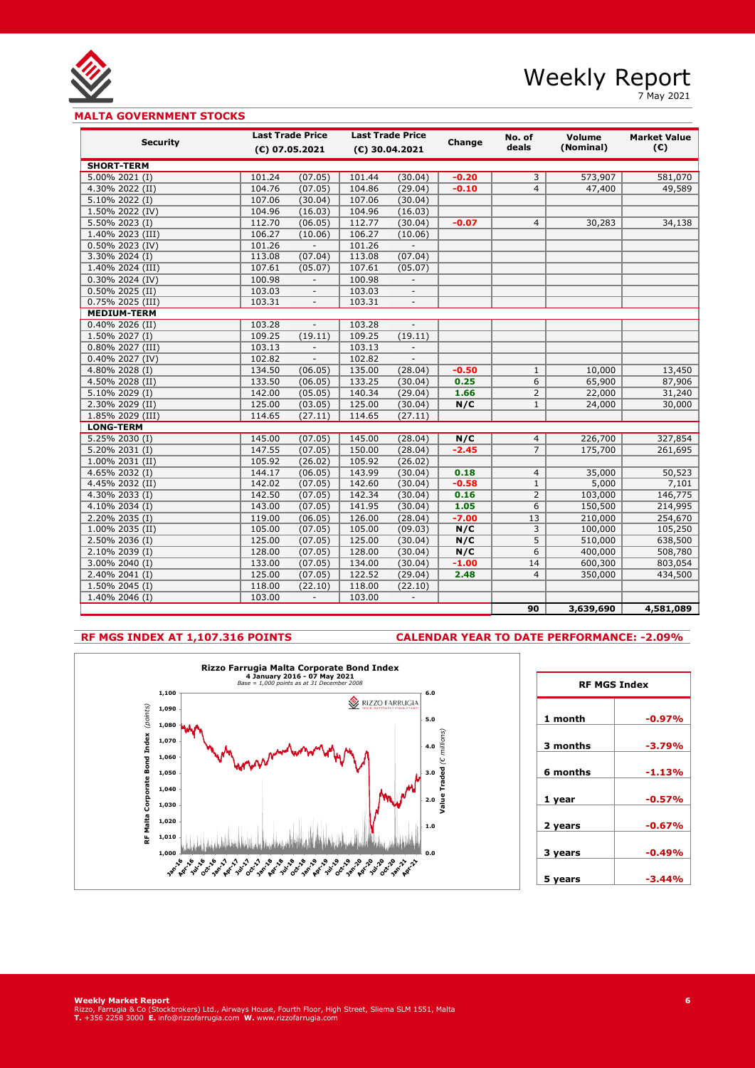

7 May 2021

## **MALTA GOVERNMENT STOCKS**

| <b>Security</b>    | <b>Last Trade Price</b> |                          | <b>Last Trade Price</b> |                           | Change  | No. of         | Volume    | <b>Market Value</b> |
|--------------------|-------------------------|--------------------------|-------------------------|---------------------------|---------|----------------|-----------|---------------------|
|                    |                         | (€) 07.05.2021           |                         | (€) 30.04.2021            |         | deals          | (Nominal) | $(\mathbb{C})$      |
| <b>SHORT-TERM</b>  |                         |                          |                         |                           |         |                |           |                     |
| 5.00% 2021 (I)     | 101.24                  | (07.05)                  | 101.44                  | (30.04)                   | $-0.20$ | 3              | 573,907   | 581,070             |
| 4.30% 2022 (II)    | 104.76                  | (07.05)                  | 104.86                  | (29.04)                   | $-0.10$ | 4              | 47,400    | 49,589              |
| 5.10% 2022 (I)     | 107.06                  | (30.04)                  | 107.06                  | (30.04)                   |         |                |           |                     |
| 1.50% 2022 (IV)    | 104.96                  | (16.03)                  | 104.96                  | (16.03)                   |         |                |           |                     |
| 5.50% 2023 (I)     | 112.70                  | (06.05)                  | 112.77                  | (30.04)                   | $-0.07$ | $\overline{4}$ | 30,283    | 34,138              |
| 1.40% 2023 (III)   | 106.27                  | (10.06)                  | 106.27                  | (10.06)                   |         |                |           |                     |
| 0.50% 2023 (IV)    | 101.26                  | $\overline{\phantom{a}}$ | 101.26                  | $\overline{\phantom{a}}$  |         |                |           |                     |
| 3.30% 2024 (I)     | 113.08                  | (07.04)                  | 113.08                  | (07.04)                   |         |                |           |                     |
| 1.40% 2024 (III)   | 107.61                  | (05.07)                  | 107.61                  | (05.07)                   |         |                |           |                     |
| 0.30% 2024 (IV)    | 100.98                  | $\overline{\phantom{a}}$ | 100.98                  |                           |         |                |           |                     |
| 0.50% 2025 (II)    | 103.03                  |                          | 103.03                  |                           |         |                |           |                     |
| 0.75% 2025 (III)   | 103.31                  |                          | 103.31                  |                           |         |                |           |                     |
| <b>MEDIUM-TERM</b> |                         |                          |                         |                           |         |                |           |                     |
| 0.40% 2026 (II)    | 103.28                  | $\overline{\phantom{a}}$ | 103.28                  |                           |         |                |           |                     |
| 1.50% 2027 (I)     | 109.25                  | (19.11)                  | 109.25                  | (19.11)                   |         |                |           |                     |
| 0.80% 2027 (III)   | 103.13                  | $\mathcal{L}$            | 103.13                  | $\mathbb{Z}^{\mathbb{Z}}$ |         |                |           |                     |
| 0.40% 2027 (IV)    | 102.82                  | $\overline{\phantom{a}}$ | 102.82                  | $\overline{\phantom{a}}$  |         |                |           |                     |
| 4.80% 2028 (I)     | 134.50                  | (06.05)                  | 135.00                  | (28.04)                   | $-0.50$ | $\mathbf{1}$   | 10,000    | 13,450              |
| 4.50% 2028 (II)    | 133.50                  | (06.05)                  | 133.25                  | (30.04)                   | 0.25    | 6              | 65,900    | 87,906              |
| 5.10% 2029 (I)     | 142.00                  | (05.05)                  | 140.34                  | (29.04)                   | 1.66    | $\overline{2}$ | 22,000    | 31,240              |
| 2.30% 2029 (II)    | 125.00                  | (03.05)                  | 125.00                  | (30.04)                   | N/C     | $\mathbf{1}$   | 24,000    | 30,000              |
| 1.85% 2029 (III)   | 114.65                  | (27.11)                  | 114.65                  | (27.11)                   |         |                |           |                     |
| <b>LONG-TERM</b>   |                         |                          |                         |                           |         |                |           |                     |
| 5.25% 2030 (I)     | 145.00                  | (07.05)                  | 145.00                  | (28.04)                   | N/C     | $\overline{4}$ | 226,700   | 327,854             |
| 5.20% 2031 (I)     | 147.55                  | (07.05)                  | 150.00                  | (28.04)                   | $-2.45$ | $\overline{7}$ | 175,700   | 261,695             |
| 1.00% 2031 (II)    | 105.92                  | (26.02)                  | 105.92                  | (26.02)                   |         |                |           |                     |
| 4.65% 2032 (I)     | 144.17                  | (06.05)                  | 143.99                  | (30.04)                   | 0.18    | $\overline{4}$ | 35,000    | 50,523              |
| 4.45% 2032 (II)    | 142.02                  | (07.05)                  | 142.60                  | (30.04)                   | $-0.58$ | $\mathbf{1}$   | 5,000     | 7,101               |
| 4.30% 2033 (I)     | 142.50                  | (07.05)                  | 142.34                  | (30.04)                   | 0.16    | $\overline{2}$ | 103,000   | 146,775             |
| 4.10% 2034 (I)     | 143.00                  | (07.05)                  | 141.95                  | (30.04)                   | 1.05    | 6              | 150,500   | 214,995             |
| 2.20% 2035 (I)     | 119.00                  | (06.05)                  | 126.00                  | (28.04)                   | $-7.00$ | 13             | 210,000   | 254,670             |
| 1.00% 2035 (II)    | 105.00                  | (07.05)                  | 105.00                  | (09.03)                   | N/C     | 3              | 100,000   | 105,250             |
| 2.50% 2036 (I)     | 125.00                  | (07.05)                  | 125.00                  | (30.04)                   | N/C     | 5              | 510,000   | 638,500             |
| 2.10% 2039 (I)     | 128.00                  | (07.05)                  | 128.00                  | (30.04)                   | N/C     | 6              | 400,000   | 508,780             |
| 3.00% 2040 (I)     | 133.00                  | (07.05)                  | 134.00                  | (30.04)                   | $-1.00$ | 14             | 600,300   | 803,054             |
| $2.40\%$ 2041 (I)  | 125.00                  | (07.05)                  | 122.52                  | (29.04)                   | 2.48    | $\overline{4}$ | 350,000   | 434,500             |
| $1.50\%$ 2045 (I)  | 118.00                  | (22.10)                  | 118.00                  | (22.10)                   |         |                |           |                     |
| 1.40% 2046 (I)     | 103.00                  | $\overline{\phantom{a}}$ | 103.00                  | $\overline{\phantom{a}}$  |         |                |           |                     |
|                    |                         |                          |                         |                           |         | 90             | 3,639,690 | 4,581,089           |

## **RF MGS INDEX AT 1,107.316 POINTS CALENDAR YEAR TO DATE PERFORMANCE: -2.09%**



| <b>RF MGS Index</b> |          |  |  |  |  |
|---------------------|----------|--|--|--|--|
| 1 month             | $-0.97%$ |  |  |  |  |
| 3 months            | -3.79%   |  |  |  |  |
| 6 months            | -1.13%   |  |  |  |  |
| 1 year              | $-0.57%$ |  |  |  |  |
| 2 years             | $-0.67%$ |  |  |  |  |
| 3 years             | $-0.49%$ |  |  |  |  |
| 5 years             | -3.44%   |  |  |  |  |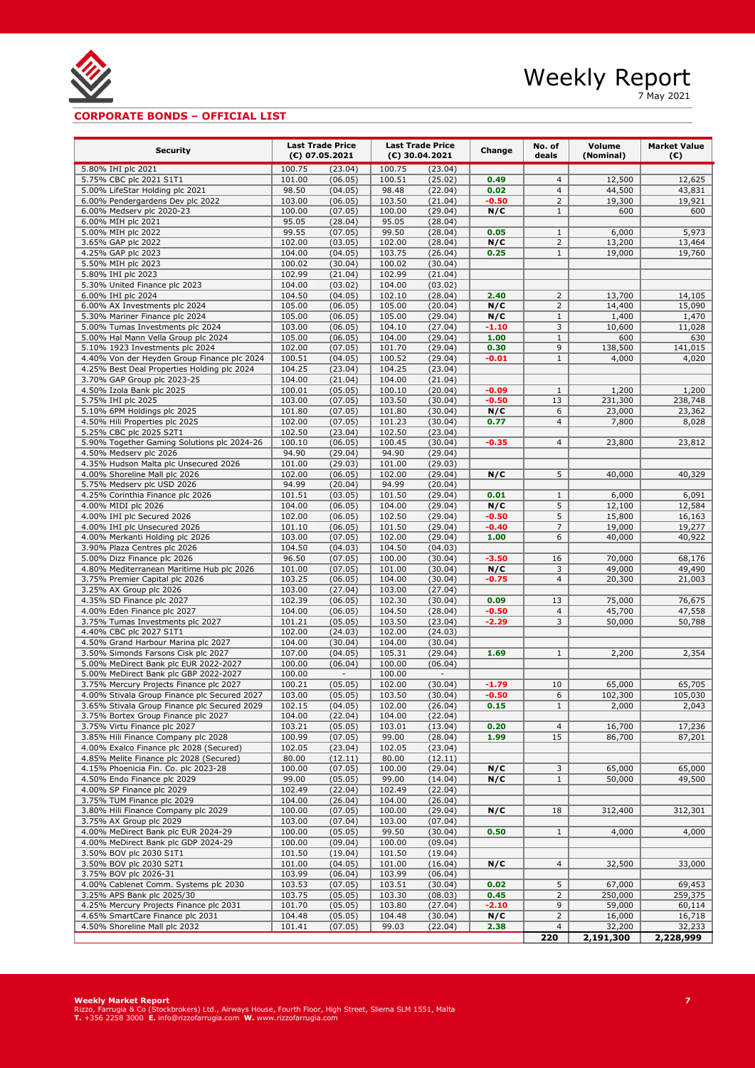

7 May 2021

## **CORPORATE BONDS – OFFICIAL LIST**

| <b>Security</b>                                                                         | <b>Last Trade Price</b><br>$(E)$ 07.05.2021 |                    | <b>Last Trade Price</b><br>(€) 30.04.2021 |                    | Change             | No. of<br>deals                | Volume<br>(Nominal) | <b>Market Value</b><br>(€) |
|-----------------------------------------------------------------------------------------|---------------------------------------------|--------------------|-------------------------------------------|--------------------|--------------------|--------------------------------|---------------------|----------------------------|
| 5.80% IHI plc 2021                                                                      | 100.75                                      | (23.04)            | 100.75                                    | (23.04)            |                    |                                |                     |                            |
| 5.75% CBC plc 2021 S1T1                                                                 | 101.00                                      | (06.05)            | 100.51                                    | (25.02)            | 0.49               | $\overline{4}$                 | 12,500              | 12,625                     |
| 5.00% LifeStar Holding plc 2021                                                         | 98.50                                       | (04.05)            | 98.48                                     | (22.04)            | 0.02               | $\overline{4}$                 | 44,500              | 43,831                     |
| 6.00% Pendergardens Dev plc 2022                                                        | 103.00                                      | (06.05)            | 103.50                                    | (21.04)            | $-0.50$            | $\overline{2}$                 | 19,300              | 19,921                     |
| 6.00% Medserv plc 2020-23                                                               | 100.00                                      | (07.05)            | 100.00                                    | (29.04)            | N/C                | $\mathbf{1}$                   | 600                 | 600                        |
| 6.00% MIH plc 2021                                                                      | 95.05                                       | (28.04)            | 95.05                                     | (28.04)            |                    |                                |                     |                            |
| 5.00% MIH plc 2022<br>3.65% GAP plc 2022                                                | 99.55<br>102.00                             | (07.05)<br>(03.05) | 99.50<br>102.00                           | (28.04)<br>(28.04) | 0.05<br>N/C        | $\mathbf{1}$<br>$\overline{2}$ | 6,000<br>13,200     | 5,973<br>13,464            |
| 4.25% GAP plc 2023                                                                      | 104.00                                      | (04.05)            | 103.75                                    | (26.04)            | 0.25               | $\mathbf{1}$                   | 19,000              | 19,760                     |
| 5.50% MIH plc 2023                                                                      | 100.02                                      | (30.04)            | 100.02                                    | (30.04)            |                    |                                |                     |                            |
| 5.80% IHI plc 2023                                                                      | 102.99                                      | (21.04)            | 102.99                                    | (21.04)            |                    |                                |                     |                            |
| 5.30% United Finance plc 2023                                                           | 104.00                                      | (03.02)            | 104.00                                    | (03.02)            |                    |                                |                     |                            |
| 6.00% IHI plc 2024                                                                      | 104.50                                      | (04.05)            | 102.10                                    | (28.04)            | 2.40               | $\overline{2}$                 | 13,700              | 14,105                     |
| 6.00% AX Investments plc 2024                                                           | 105.00                                      | (06.05)            | 105.00                                    | (20.04)            | N/C                | $\overline{2}$                 | 14,400              | 15,090                     |
| 5.30% Mariner Finance plc 2024<br>5.00% Tumas Investments plc 2024                      | 105.00<br>103.00                            | (06.05)<br>(06.05) | 105.00<br>104.10                          | (29.04)<br>(27.04) | N/C<br>-1.10       | $\mathbf{1}$<br>3              | 1,400<br>10,600     | 1,470<br>11,028            |
| 5.00% Hal Mann Vella Group plc 2024                                                     | 105.00                                      | (06.05)            | 104.00                                    | (29.04)            | 1.00               | $\mathbf{1}$                   | 600                 | 630                        |
| 5.10% 1923 Investments plc 2024                                                         | 102.00                                      | (07.05)            | 101.70                                    | (29.04)            | 0.30               | 9                              | 138,500             | 141,015                    |
| 4.40% Von der Heyden Group Finance plc 2024                                             | 100.51                                      | (04.05)            | 100.52                                    | (29.04)            | $-0.01$            | $\mathbf{1}$                   | 4,000               | 4,020                      |
| 4.25% Best Deal Properties Holding plc 2024                                             | 104.25                                      | (23.04)            | 104.25                                    | (23.04)            |                    |                                |                     |                            |
| 3.70% GAP Group plc 2023-25                                                             | 104.00                                      | (21.04)            | 104.00                                    | (21.04)            |                    |                                |                     |                            |
| 4.50% Izola Bank plc 2025                                                               | 100.01                                      | (05.05)            | 100.10                                    | (20.04)            | $-0.09$            | $\mathbf{1}$                   | 1,200               | 1,200                      |
| 5.75% IHI plc 2025                                                                      | 103.00                                      | (07.05)            | 103.50                                    | (30.04)            | $-0.50$            | 13                             | 231,300             | 238,748                    |
| 5.10% 6PM Holdings plc 2025<br>4.50% Hili Properties plc 2025                           | 101.80<br>102.00                            | (07.05)<br>(07.05) | 101.80<br>101.23                          | (30.04)            | N/C<br>0.77        | 6<br>$\overline{4}$            | 23,000<br>7,800     | 23,362<br>8,028            |
| 5.25% CBC plc 2025 S2T1                                                                 | 102.50                                      | (23.04)            | 102.50                                    | (30.04)<br>(23.04) |                    |                                |                     |                            |
| 5.90% Together Gaming Solutions plc 2024-26                                             | 100.10                                      | (06.05)            | 100.45                                    | (30.04)            | $-0.35$            | $\overline{4}$                 | 23,800              | 23,812                     |
| 4.50% Medserv plc 2026                                                                  | 94.90                                       | (29.04)            | 94.90                                     | (29.04)            |                    |                                |                     |                            |
| 4.35% Hudson Malta plc Unsecured 2026                                                   | 101.00                                      | (29.03)            | 101.00                                    | (29.03)            |                    |                                |                     |                            |
| 4.00% Shoreline Mall plc 2026                                                           | 102.00                                      | (06.05)            | 102.00                                    | (29.04)            | N/C                | 5                              | 40,000              | 40,329                     |
| 5.75% Medserv plc USD 2026                                                              | 94.99                                       | (20.04)            | 94.99                                     | (20.04)            |                    |                                |                     |                            |
| 4.25% Corinthia Finance plc 2026                                                        | 101.51                                      | (03.05)            | 101.50                                    | (29.04)            | 0.01               | $\mathbf{1}$                   | 6,000               | 6,091                      |
| 4.00% MIDI plc 2026<br>4.00% IHI plc Secured 2026                                       | 104.00<br>102.00                            | (06.05)<br>(06.05) | 104.00<br>102.50                          | (29.04)<br>(29.04) | N/C<br>$-0.50$     | 5<br>5                         | 12,100<br>15,800    | 12,584<br>16,163           |
| 4.00% IHI plc Unsecured 2026                                                            | 101.10                                      | (06.05)            | 101.50                                    | (29.04)            | $-0.40$            | $\overline{7}$                 | 19,000              | 19,277                     |
| 4.00% Merkanti Holding plc 2026                                                         | 103.00                                      | (07.05)            | 102.00                                    | (29.04)            | 1.00               | 6                              | 40,000              | 40,922                     |
| 3.90% Plaza Centres plc 2026                                                            | 104.50                                      | (04.03)            | 104.50                                    | (04.03)            |                    |                                |                     |                            |
| 5.00% Dizz Finance plc 2026                                                             | 96.50                                       | (07.05)            | 100.00                                    | (30.04)            | $-3.50$            | 16                             | 70,000              | 68,176                     |
| 4.80% Mediterranean Maritime Hub plc 2026                                               | 101.00                                      | (07.05)            | 101.00                                    | (30.04)            | N/C                | 3                              | 49,000              | 49,490                     |
| 3.75% Premier Capital plc 2026                                                          | 103.25                                      | (06.05)            | 104.00                                    | (30.04)            | -0.75              | $\overline{4}$                 | 20,300              | 21,003                     |
| 3.25% AX Group plc 2026<br>4.35% SD Finance plc 2027                                    | 103.00<br>102.39                            | (27.04)<br>(06.05) | 103.00<br>102.30                          | (27.04)<br>(30.04) | 0.09               | 13                             | 75,000              | 76,675                     |
| 4.00% Eden Finance plc 2027                                                             | 104.00                                      | (06.05)            | 104.50                                    | (28.04)            | $-0.50$            | $\overline{4}$                 | 45,700              | 47,558                     |
| 3.75% Tumas Investments plc 2027                                                        | 101.21                                      | (05.05)            | 103.50                                    | (23.04)            | $-2.29$            | 3                              | 50,000              | 50,788                     |
| 4.40% CBC plc 2027 S1T1                                                                 | 102.00                                      | (24.03)            | 102.00                                    | (24.03)            |                    |                                |                     |                            |
| 4.50% Grand Harbour Marina plc 2027                                                     | 104.00                                      | (30.04)            | 104.00                                    | (30.04)            |                    |                                |                     |                            |
| 3.50% Simonds Farsons Cisk plc 2027                                                     | 107.00                                      | (04.05)            | 105.31                                    | (29.04)            | 1.69               | $\mathbf{1}$                   | 2,200               | 2,354                      |
| 5.00% MeDirect Bank plc EUR 2022-2027                                                   | 100.00                                      | (06.04)            | 100.00                                    | (06.04)            |                    |                                |                     |                            |
| 5.00% MeDirect Bank plc GBP 2022-2027                                                   | 100.00                                      |                    | 100.00                                    |                    |                    |                                |                     |                            |
| 3.75% Mercury Projects Finance plc 2027<br>4.00% Stivala Group Finance plc Secured 2027 | 100.21<br>103.00                            | (05.05)<br>(05.05) | 102.00<br>103.50                          | (30.04)<br>(30.04) | $-1.79$<br>$-0.50$ | 10<br>6                        | 65,000<br>102,300   | 65,705<br>105,030          |
| 3.65% Stivala Group Finance plc Secured 2029                                            | 102.15                                      | (04.05)            | 102.00                                    | (26.04)            | 0.15               | 1                              | <u>2,000</u>        | <u>2,043 </u>              |
| 3.75% Bortex Group Finance plc 2027                                                     | 104.00                                      | (22.04)            | 104.00                                    | (22.04)            |                    |                                |                     |                            |
| 3.75% Virtu Finance plc 2027                                                            | 103.21                                      | (05.05)            | 103.01                                    | (13.04)            | 0.20               | $\overline{4}$                 | 16,700              | 17,236                     |
| 3.85% Hili Finance Company plc 2028                                                     | 100.99                                      | (07.05)            | 99.00                                     | (28.04)            | 1.99               | 15                             | 86,700              | 87,201                     |
| 4.00% Exalco Finance plc 2028 (Secured)                                                 | 102.05                                      | (23.04)            | 102.05                                    | (23.04)            |                    |                                |                     |                            |
| 4.85% Melite Finance plc 2028 (Secured)                                                 | 80.00                                       | (12.11)            | 80.00                                     | (12.11)            |                    |                                |                     |                            |
| 4.15% Phoenicia Fin. Co. plc 2023-28                                                    | 100.00                                      | (07.05)            | 100.00                                    | (29.04)            | N/C                | 3                              | 65,000              | 65,000<br>49,500           |
| 4.50% Endo Finance plc 2029<br>4.00% SP Finance plc 2029                                | 99.00<br>102.49                             | (05.05)<br>(22.04) | 99.00<br>102.49                           | (14.04)<br>(22.04) | N/C                | $\mathbf{1}$                   | 50,000              |                            |
| 3.75% TUM Finance plc 2029                                                              | 104.00                                      | (26.04)            | 104.00                                    | (26.04)            |                    |                                |                     |                            |
| 3.80% Hili Finance Company plc 2029                                                     | 100.00                                      | (07.05)            | 100.00                                    | (29.04)            | N/C                | 18                             | 312,400             | 312,301                    |
| 3.75% AX Group plc 2029                                                                 | 103.00                                      | (07.04)            | 103.00                                    | (07.04)            |                    |                                |                     |                            |
| 4.00% MeDirect Bank plc EUR 2024-29                                                     | 100.00                                      | (05.05)            | 99.50                                     | (30.04)            | 0.50               | $\mathbf{1}$                   | 4,000               | 4,000                      |
| 4.00% MeDirect Bank plc GDP 2024-29                                                     | 100.00                                      | (09.04)            | 100.00                                    | (09.04)            |                    |                                |                     |                            |
| 3.50% BOV plc 2030 S1T1                                                                 | 101.50                                      | (19.04)            | 101.50                                    | (19.04)            |                    |                                |                     |                            |
| 3.50% BOV plc 2030 S2T1                                                                 | 101.00                                      | (04.05)            | 101.00                                    | (16.04)            | N/C                | 4                              | 32,500              | 33,000                     |
| 3.75% BOV plc 2026-31<br>4.00% Cablenet Comm. Systems plc 2030                          | 103.99<br>103.53                            | (06.04)<br>(07.05) | 103.99<br>103.51                          | (06.04)<br>(30.04) | 0.02               | 5                              | 67,000              | 69,453                     |
| 3.25% APS Bank plc 2025/30                                                              | 103.75                                      | (05.05)            | 103.30                                    | (08.03)            | 0.45               | $\overline{2}$                 | 250,000             | 259,375                    |
| 4.25% Mercury Projects Finance plc 2031                                                 | 101.70                                      | (05.05)            | 103.80                                    | (27.04)            | $-2.10$            | 9                              | 59,000              | 60,114                     |
| 4.65% SmartCare Finance plc 2031                                                        | 104.48                                      | (05.05)            | 104.48                                    | (30.04)            | N/C                | $\overline{2}$                 | 16,000              | 16,718                     |
| 4.50% Shoreline Mall plc 2032                                                           | 101.41                                      | (07.05)            | 99.03                                     | (22.04)            | 2.38               | $\overline{4}$                 | 32,200              | 32,233                     |
|                                                                                         |                                             |                    |                                           |                    |                    | 220                            | 2,191,300           | 2,228,999                  |